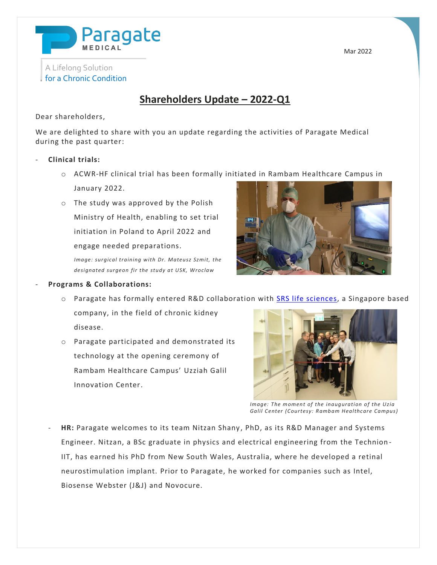

## A Lifelong Solution for a Chronic Condition

**Shareholders Update – 2022-Q1**

#### Dear shareholders,

We are delighted to share with you an update regarding the activities of Paragate Medical during the past quarter:

### - **Clinical trials:**

o ACWR-HF clinical trial has been formally initiated in Rambam Healthcare Campus in

January 2022.

o The study was approved by the Polish Ministry of Health, enabling to set trial initiation in Poland to April 2022 and engage needed preparations.

*Image: surgical training with Dr. Mateusz Szmit, the designated surgeon fir the study at USK, Wroclaw*



#### **Programs & Collaborations:** *, Dr. Mateusz Szmit*

- $\circ$  Paragate has formally entered R&D collaboration with [SRS life sciences,](https://www.srslife.com/) a Singapore based
- company, in the field of chronic kidney disease.
- o Paragate participated and demonstrated its technology at the opening ceremony of Rambam Healthcare Campus' Uzziah Galil Innovation Center.



*Image: The moment of the inauguration of the Uzia Galil Center (Courtesy: Rambam Healthcare Campus)*

HR: Paragate welcomes to its team Nitzan Shany, PhD, as its R&D Manager and Systems Engineer. Nitzan, a BSc graduate in physics and electrical engineering from the Technion - IIT, has earned his PhD from New South Wales, Australia, where he developed a retinal neurostimulation implant. Prior to Paragate, he worked for companies such as Intel, Biosense Webster (J&J) and Novocure.